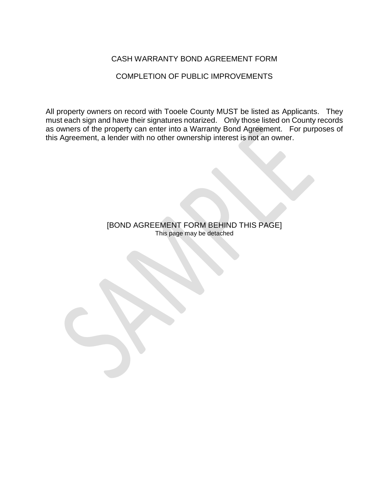### CASH WARRANTY BOND AGREEMENT FORM

COMPLETION OF PUBLIC IMPROVEMENTS

All property owners on record with Tooele County MUST be listed as Applicants. They must each sign and have their signatures notarized. Only those listed on County records as owners of the property can enter into a Warranty Bond Agreement. For purposes of this Agreement, a lender with no other ownership interest is not an owner.

> [BOND AGREEMENT FORM BEHIND THIS PAGE] This page may be detached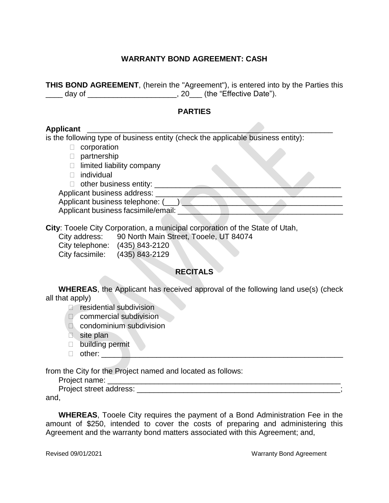## **WARRANTY BOND AGREEMENT: CASH**

**THIS BOND AGREEMENT**, (herein the "Agreement"), is entered into by the Parties this \_\_\_\_ day of \_\_\_\_\_\_\_\_\_\_\_\_\_\_\_\_\_\_\_\_\_\_\_, 20\_\_\_ (the "Effective Date").

#### **PARTIES**

#### **Applicant** \_\_\_\_\_\_\_\_\_\_\_\_\_\_\_\_\_\_\_\_\_\_\_\_\_\_\_\_\_\_\_\_\_\_\_\_\_\_\_\_\_\_\_\_\_\_\_\_\_\_\_\_\_\_\_\_\_\_

is the following type of business entity (check the applicable business entity):

- $\Box$  corporation
- D partnership
- $\Box$  limited liability company
- **D** individual
- $\Box$  other business entity:  $\Box$

Applicant business address:

Applicant business telephone: (\_\_\_)

Applicant business facsimile/email:

**City**: Tooele City Corporation, a municipal corporation of the State of Utah,

City address: 90 North Main Street, Tooele, UT 84074

City telephone: (435) 843-2120 City facsimile: (435) 843-2129

## **RECITALS**

**WHEREAS**, the Applicant has received approval of the following land use(s) (check all that apply)

**P** residential subdivision

- D commercial subdivision
- **Condominium subdivision**
- site plan
- □ building permit
- $\Box$  other:

from the City for the Project named and located as follows:

Project name: \_\_\_\_\_\_\_\_\_\_\_\_\_\_\_\_\_\_\_\_\_\_\_\_\_\_\_\_\_\_\_\_\_\_\_\_\_\_\_\_\_\_\_\_\_\_\_\_\_\_\_\_\_\_\_

Project street address: \_\_\_\_\_\_\_\_\_\_\_\_\_\_\_\_\_\_\_\_\_\_\_\_\_\_\_\_\_\_\_\_\_\_\_\_\_\_\_\_\_\_\_\_\_\_\_\_;

and,

**WHEREAS**, Tooele City requires the payment of a Bond Administration Fee in the amount of \$250, intended to cover the costs of preparing and administering this Agreement and the warranty bond matters associated with this Agreement; and,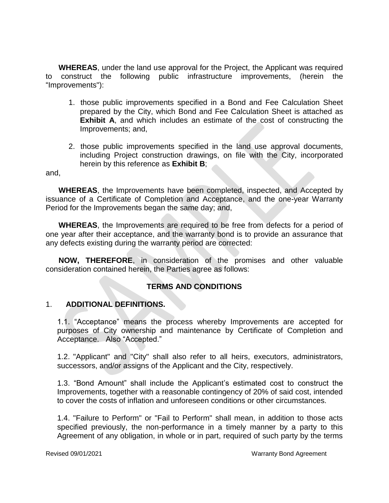**WHEREAS**, under the land use approval for the Project, the Applicant was required to construct the following public infrastructure improvements, (herein the "Improvements"):

- 1. those public improvements specified in a Bond and Fee Calculation Sheet prepared by the City, which Bond and Fee Calculation Sheet is attached as **Exhibit A**, and which includes an estimate of the cost of constructing the Improvements; and,
- 2. those public improvements specified in the land use approval documents, including Project construction drawings, on file with the City, incorporated herein by this reference as **Exhibit B**;

and,

**WHEREAS**, the Improvements have been completed, inspected, and Accepted by issuance of a Certificate of Completion and Acceptance, and the one-year Warranty Period for the Improvements began the same day; and,

**WHEREAS**, the Improvements are required to be free from defects for a period of one year after their acceptance, and the warranty bond is to provide an assurance that any defects existing during the warranty period are corrected:

**NOW, THEREFORE**, in consideration of the promises and other valuable consideration contained herein, the Parties agree as follows:

## **TERMS AND CONDITIONS**

#### 1. **ADDITIONAL DEFINITIONS.**

1.1. "Acceptance" means the process whereby Improvements are accepted for purposes of City ownership and maintenance by Certificate of Completion and Acceptance. Also "Accepted."

1.2. "Applicant" and "City" shall also refer to all heirs, executors, administrators, successors, and/or assigns of the Applicant and the City, respectively.

1.3. "Bond Amount" shall include the Applicant's estimated cost to construct the Improvements, together with a reasonable contingency of 20% of said cost, intended to cover the costs of inflation and unforeseen conditions or other circumstances.

1.4. "Failure to Perform" or "Fail to Perform" shall mean, in addition to those acts specified previously, the non-performance in a timely manner by a party to this Agreement of any obligation, in whole or in part, required of such party by the terms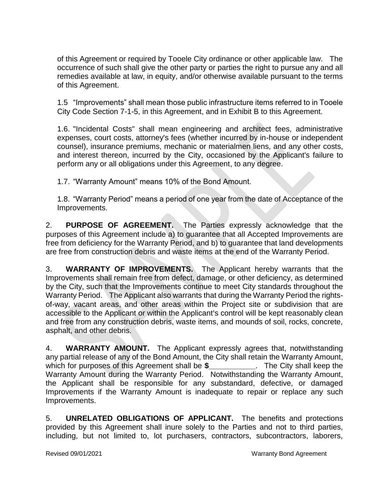of this Agreement or required by Tooele City ordinance or other applicable law. The occurrence of such shall give the other party or parties the right to pursue any and all remedies available at law, in equity, and/or otherwise available pursuant to the terms of this Agreement.

1.5 "Improvements" shall mean those public infrastructure items referred to in Tooele City Code Section 7-1-5, in this Agreement, and in Exhibit B to this Agreement.

1.6. "Incidental Costs" shall mean engineering and architect fees, administrative expenses, court costs, attorney's fees (whether incurred by in-house or independent counsel), insurance premiums, mechanic or materialmen liens, and any other costs, and interest thereon, incurred by the City, occasioned by the Applicant's failure to perform any or all obligations under this Agreement, to any degree.

1.7. "Warranty Amount" means 10% of the Bond Amount.

1.8. "Warranty Period" means a period of one year from the date of Acceptance of the Improvements.

2. **PURPOSE OF AGREEMENT.** The Parties expressly acknowledge that the purposes of this Agreement include a) to guarantee that all Accepted Improvements are free from deficiency for the Warranty Period, and b) to guarantee that land developments are free from construction debris and waste items at the end of the Warranty Period.

3. **WARRANTY OF IMPROVEMENTS.** The Applicant hereby warrants that the Improvements shall remain free from defect, damage, or other deficiency, as determined by the City, such that the Improvements continue to meet City standards throughout the Warranty Period. The Applicant also warrants that during the Warranty Period the rightsof-way, vacant areas, and other areas within the Project site or subdivision that are accessible to the Applicant or within the Applicant's control will be kept reasonably clean and free from any construction debris, waste items, and mounds of soil, rocks, concrete, asphalt, and other debris.

4. **WARRANTY AMOUNT.** The Applicant expressly agrees that, notwithstanding any partial release of any of the Bond Amount, the City shall retain the Warranty Amount, which for purposes of this Agreement shall be **\$\_\_\_\_\_\_\_\_\_\_\_**. The City shall keep the Warranty Amount during the Warranty Period. Notwithstanding the Warranty Amount, the Applicant shall be responsible for any substandard, defective, or damaged Improvements if the Warranty Amount is inadequate to repair or replace any such Improvements.

5. **UNRELATED OBLIGATIONS OF APPLICANT.** The benefits and protections provided by this Agreement shall inure solely to the Parties and not to third parties, including, but not limited to, lot purchasers, contractors, subcontractors, laborers,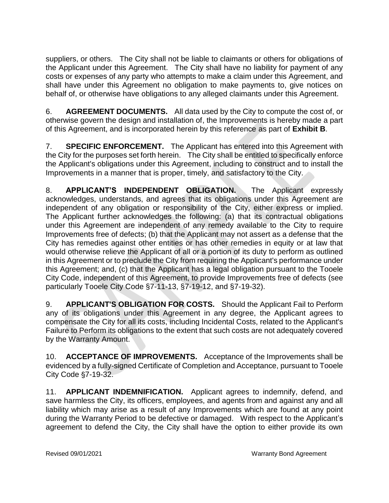suppliers, or others. The City shall not be liable to claimants or others for obligations of the Applicant under this Agreement. The City shall have no liability for payment of any costs or expenses of any party who attempts to make a claim under this Agreement, and shall have under this Agreement no obligation to make payments to, give notices on behalf of, or otherwise have obligations to any alleged claimants under this Agreement.

6. **AGREEMENT DOCUMENTS.** All data used by the City to compute the cost of, or otherwise govern the design and installation of, the Improvements is hereby made a part of this Agreement, and is incorporated herein by this reference as part of **Exhibit B**.

7. **SPECIFIC ENFORCEMENT.** The Applicant has entered into this Agreement with the City for the purposes set forth herein. The City shall be entitled to specifically enforce the Applicant's obligations under this Agreement, including to construct and to install the Improvements in a manner that is proper, timely, and satisfactory to the City.

8. **APPLICANT'S INDEPENDENT OBLIGATION.** The Applicant expressly acknowledges, understands, and agrees that its obligations under this Agreement are independent of any obligation or responsibility of the City, either express or implied. The Applicant further acknowledges the following: (a) that its contractual obligations under this Agreement are independent of any remedy available to the City to require Improvements free of defects; (b) that the Applicant may not assert as a defense that the City has remedies against other entities or has other remedies in equity or at law that would otherwise relieve the Applicant of all or a portion of its duty to perform as outlined in this Agreement or to preclude the City from requiring the Applicant's performance under this Agreement; and, (c) that the Applicant has a legal obligation pursuant to the Tooele City Code, independent of this Agreement, to provide Improvements free of defects (see particularly Tooele City Code §7-11-13, §7-19-12, and §7-19-32).

9. **APPLICANT'S OBLIGATION FOR COSTS.** Should the Applicant Fail to Perform any of its obligations under this Agreement in any degree, the Applicant agrees to compensate the City for all its costs, including Incidental Costs, related to the Applicant's Failure to Perform its obligations to the extent that such costs are not adequately covered by the Warranty Amount.

10. **ACCEPTANCE OF IMPROVEMENTS.** Acceptance of the Improvements shall be evidenced by a fully-signed Certificate of Completion and Acceptance, pursuant to Tooele City Code §7-19-32.

11. **APPLICANT INDEMNIFICATION.** Applicant agrees to indemnify, defend, and save harmless the City, its officers, employees, and agents from and against any and all liability which may arise as a result of any Improvements which are found at any point during the Warranty Period to be defective or damaged. With respect to the Applicant's agreement to defend the City, the City shall have the option to either provide its own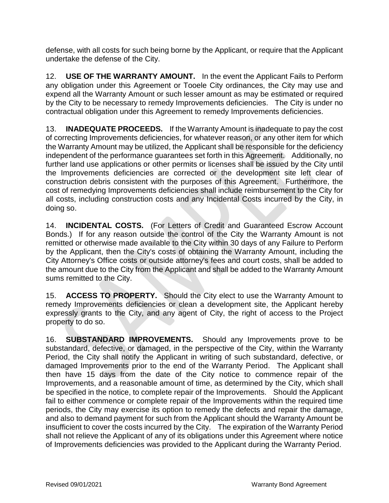defense, with all costs for such being borne by the Applicant, or require that the Applicant undertake the defense of the City.

12. **USE OF THE WARRANTY AMOUNT.** In the event the Applicant Fails to Perform any obligation under this Agreement or Tooele City ordinances, the City may use and expend all the Warranty Amount or such lesser amount as may be estimated or required by the City to be necessary to remedy Improvements deficiencies. The City is under no contractual obligation under this Agreement to remedy Improvements deficiencies.

13. **INADEQUATE PROCEEDS.** If the Warranty Amount is inadequate to pay the cost of correcting Improvements deficiencies, for whatever reason, or any other item for which the Warranty Amount may be utilized, the Applicant shall be responsible for the deficiency independent of the performance guarantees set forth in this Agreement. Additionally, no further land use applications or other permits or licenses shall be issued by the City until the Improvements deficiencies are corrected or the development site left clear of construction debris consistent with the purposes of this Agreement. Furthermore, the cost of remedying Improvements deficiencies shall include reimbursement to the City for all costs, including construction costs and any Incidental Costs incurred by the City, in doing so.

14. **INCIDENTAL COSTS.** (For Letters of Credit and Guaranteed Escrow Account Bonds.) If for any reason outside the control of the City the Warranty Amount is not remitted or otherwise made available to the City within 30 days of any Failure to Perform by the Applicant, then the City's costs of obtaining the Warranty Amount, including the City Attorney's Office costs or outside attorney's fees and court costs, shall be added to the amount due to the City from the Applicant and shall be added to the Warranty Amount sums remitted to the City.

15. **ACCESS TO PROPERTY.** Should the City elect to use the Warranty Amount to remedy Improvements deficiencies or clean a development site, the Applicant hereby expressly grants to the City, and any agent of City, the right of access to the Project property to do so.

16. **SUBSTANDARD IMPROVEMENTS.** Should any Improvements prove to be substandard, defective, or damaged, in the perspective of the City, within the Warranty Period, the City shall notify the Applicant in writing of such substandard, defective, or damaged Improvements prior to the end of the Warranty Period. The Applicant shall then have 15 days from the date of the City notice to commence repair of the Improvements, and a reasonable amount of time, as determined by the City, which shall be specified in the notice, to complete repair of the Improvements. Should the Applicant fail to either commence or complete repair of the Improvements within the required time periods, the City may exercise its option to remedy the defects and repair the damage, and also to demand payment for such from the Applicant should the Warranty Amount be insufficient to cover the costs incurred by the City. The expiration of the Warranty Period shall not relieve the Applicant of any of its obligations under this Agreement where notice of Improvements deficiencies was provided to the Applicant during the Warranty Period.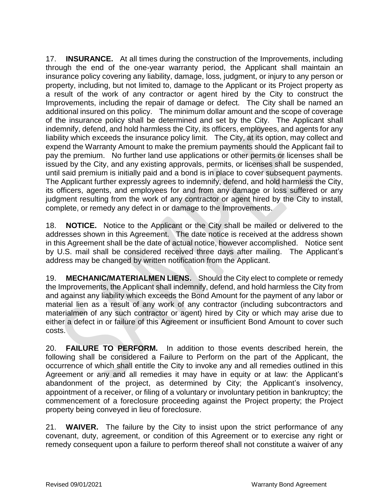17. **INSURANCE.** At all times during the construction of the Improvements, including through the end of the one-year warranty period, the Applicant shall maintain an insurance policy covering any liability, damage, loss, judgment, or injury to any person or property, including, but not limited to, damage to the Applicant or its Project property as a result of the work of any contractor or agent hired by the City to construct the Improvements, including the repair of damage or defect. The City shall be named an additional insured on this policy. The minimum dollar amount and the scope of coverage of the insurance policy shall be determined and set by the City. The Applicant shall indemnify, defend, and hold harmless the City, its officers, employees, and agents for any liability which exceeds the insurance policy limit. The City, at its option, may collect and expend the Warranty Amount to make the premium payments should the Applicant fail to pay the premium. No further land use applications or other permits or licenses shall be issued by the City, and any existing approvals, permits, or licenses shall be suspended, until said premium is initially paid and a bond is in place to cover subsequent payments. The Applicant further expressly agrees to indemnify, defend, and hold harmless the City, its officers, agents, and employees for and from any damage or loss suffered or any judgment resulting from the work of any contractor or agent hired by the City to install, complete, or remedy any defect in or damage to the Improvements.

18. **NOTICE.** Notice to the Applicant or the City shall be mailed or delivered to the addresses shown in this Agreement. The date notice is received at the address shown in this Agreement shall be the date of actual notice, however accomplished. Notice sent by U.S. mail shall be considered received three days after mailing. The Applicant's address may be changed by written notification from the Applicant.

19. **MECHANIC/MATERIALMEN LIENS.** Should the City elect to complete or remedy the Improvements, the Applicant shall indemnify, defend, and hold harmless the City from and against any liability which exceeds the Bond Amount for the payment of any labor or material lien as a result of any work of any contractor (including subcontractors and materialmen of any such contractor or agent) hired by City or which may arise due to either a defect in or failure of this Agreement or insufficient Bond Amount to cover such costs.

20. **FAILURE TO PERFORM.** In addition to those events described herein, the following shall be considered a Failure to Perform on the part of the Applicant, the occurrence of which shall entitle the City to invoke any and all remedies outlined in this Agreement or any and all remedies it may have in equity or at law: the Applicant's abandonment of the project, as determined by City; the Applicant's insolvency, appointment of a receiver, or filing of a voluntary or involuntary petition in bankruptcy; the commencement of a foreclosure proceeding against the Project property; the Project property being conveyed in lieu of foreclosure.

21. **WAIVER.** The failure by the City to insist upon the strict performance of any covenant, duty, agreement, or condition of this Agreement or to exercise any right or remedy consequent upon a failure to perform thereof shall not constitute a waiver of any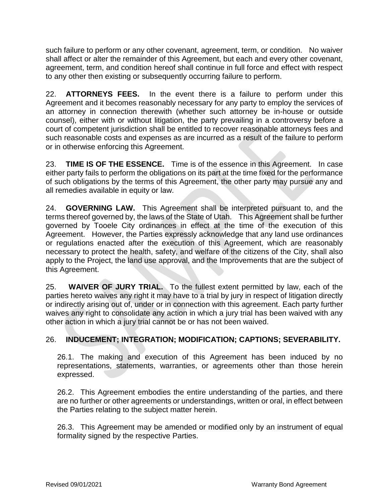such failure to perform or any other covenant, agreement, term, or condition. No waiver shall affect or alter the remainder of this Agreement, but each and every other covenant, agreement, term, and condition hereof shall continue in full force and effect with respect to any other then existing or subsequently occurring failure to perform.

22. **ATTORNEYS FEES.** In the event there is a failure to perform under this Agreement and it becomes reasonably necessary for any party to employ the services of an attorney in connection therewith (whether such attorney be in-house or outside counsel), either with or without litigation, the party prevailing in a controversy before a court of competent jurisdiction shall be entitled to recover reasonable attorneys fees and such reasonable costs and expenses as are incurred as a result of the failure to perform or in otherwise enforcing this Agreement.

23. **TIME IS OF THE ESSENCE.** Time is of the essence in this Agreement. In case either party fails to perform the obligations on its part at the time fixed for the performance of such obligations by the terms of this Agreement, the other party may pursue any and all remedies available in equity or law.

24. **GOVERNING LAW.** This Agreement shall be interpreted pursuant to, and the terms thereof governed by, the laws of the State of Utah. This Agreement shall be further governed by Tooele City ordinances in effect at the time of the execution of this Agreement. However, the Parties expressly acknowledge that any land use ordinances or regulations enacted after the execution of this Agreement, which are reasonably necessary to protect the health, safety, and welfare of the citizens of the City, shall also apply to the Project, the land use approval, and the Improvements that are the subject of this Agreement.

25. **WAIVER OF JURY TRIAL.** To the fullest extent permitted by law, each of the parties hereto waives any right it may have to a trial by jury in respect of litigation directly or indirectly arising out of, under or in connection with this agreement. Each party further waives any right to consolidate any action in which a jury trial has been waived with any other action in which a jury trial cannot be or has not been waived.

## 26. **INDUCEMENT; INTEGRATION; MODIFICATION; CAPTIONS; SEVERABILITY.**

26.1. The making and execution of this Agreement has been induced by no representations, statements, warranties, or agreements other than those herein expressed.

26.2. This Agreement embodies the entire understanding of the parties, and there are no further or other agreements or understandings, written or oral, in effect between the Parties relating to the subject matter herein.

26.3. This Agreement may be amended or modified only by an instrument of equal formality signed by the respective Parties.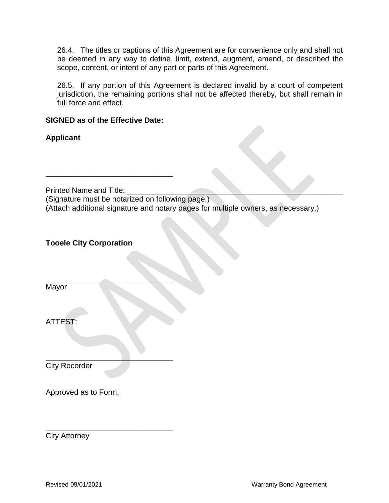26.4. The titles or captions of this Agreement are for convenience only and shall not be deemed in any way to define, limit, extend, augment, amend, or described the scope, content, or intent of any part or parts of this Agreement.

26.5. If any portion of this Agreement is declared invalid by a court of competent jurisdiction, the remaining portions shall not be affected thereby, but shall remain in full force and effect.

#### **SIGNED as of the Effective Date:**

\_\_\_\_\_\_\_\_\_\_\_\_\_\_\_\_\_\_\_\_\_\_\_\_\_\_\_\_\_\_

 $\overline{\phantom{a}}$  , where  $\overline{\phantom{a}}$ 

\_\_\_\_\_\_\_\_\_\_\_\_\_\_\_\_\_\_\_\_\_\_\_\_\_\_\_\_\_\_

**Applicant**

Printed Name and Title:

(Signature must be notarized on following page.) (Attach additional signature and notary pages for multiple owners, as necessary.)

### **Tooele City Corporation**

Mayor

ATTEST:

\_\_\_\_\_\_\_\_\_\_\_\_\_\_\_\_\_\_\_\_\_\_\_\_\_\_\_\_\_\_ City Recorder

Approved as to Form:

City Attorney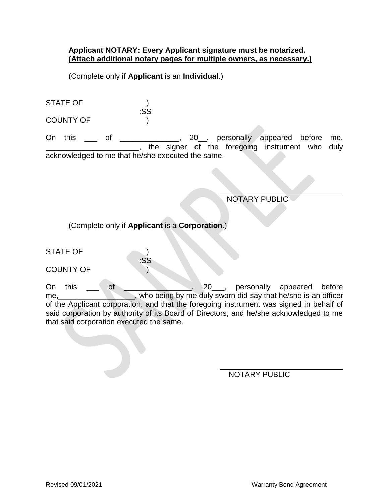#### **Applicant NOTARY: Every Applicant signature must be notarized. (Attach additional notary pages for multiple owners, as necessary.)**

(Complete only if **Applicant** is an **Individual**.)

| <b>STATE OF</b>  |     |
|------------------|-----|
|                  | :SS |
| <b>COUNTY OF</b> |     |

On this \_\_\_ of \_\_\_\_\_\_\_\_\_\_\_\_, 20\_\_, personally appeared before me, \_\_\_\_\_\_\_\_\_\_\_\_\_\_\_\_\_\_\_\_\_\_, the signer of the foregoing instrument who duly acknowledged to me that he/she executed the same.

 $\overline{a}$ 

 $\overline{a}$ 

NOTARY PUBLIC

(Complete only if **Applicant** is a **Corporation**.)

:SS

STATE OF  $\qquad \qquad$  )

COUNTY OF (1)

On this of of 20 personally appeared before me, who being by me duly sworn did say that he/she is an officer of the Applicant corporation, and that the foregoing instrument was signed in behalf of said corporation by authority of its Board of Directors, and he/she acknowledged to me that said corporation executed the same.

NOTARY PUBLIC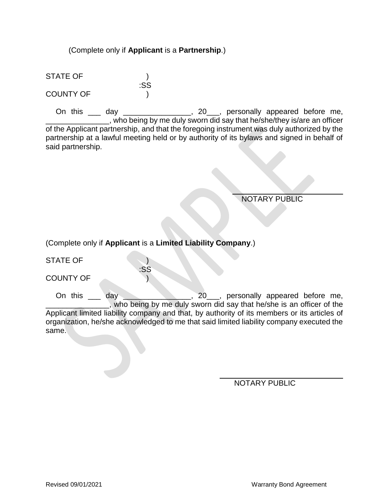#### (Complete only if **Applicant** is a **Partnership**.)

:SS

STATE OF ) COUNTY OF )

On this \_\_\_ day \_\_\_\_\_\_\_\_\_\_\_\_\_\_\_, 20\_\_\_, personally appeared before me, who being by me duly sworn did say that he/she/they is/are an officer of the Applicant partnership, and that the foregoing instrument was duly authorized by the partnership at a lawful meeting held or by authority of its bylaws and signed in behalf of said partnership.

NOTARY PUBLIC

(Complete only if **Applicant** is a **Limited Liability Company**.)

:SS

STATE OF )

COUNTY OF )

On this \_\_\_ day \_\_\_\_\_\_\_\_\_\_\_\_\_, 20\_\_, personally appeared before me, \_\_\_\_\_\_\_\_\_\_\_\_\_\_\_, who being by me duly sworn did say that he/she is an officer of the Applicant limited liability company and that, by authority of its members or its articles of organization, he/she acknowledged to me that said limited liability company executed the same.

 $\overline{a}$ 

NOTARY PUBLIC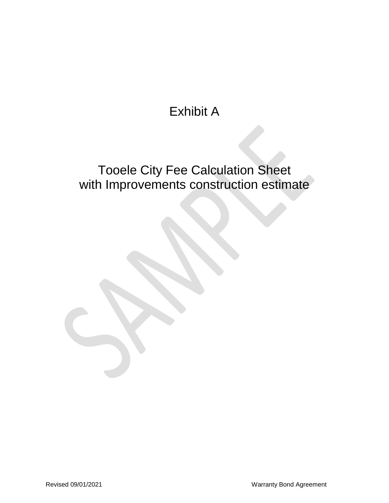# Exhibit A

# Tooele City Fee Calculation Sheet with Improvements construction estimate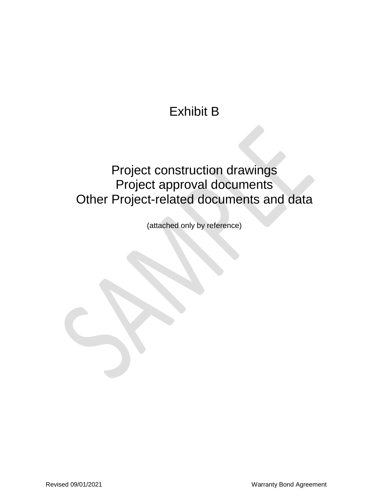# Exhibit B

## Project construction drawings Project approval documents Other Project-related documents and data

(attached only by reference)